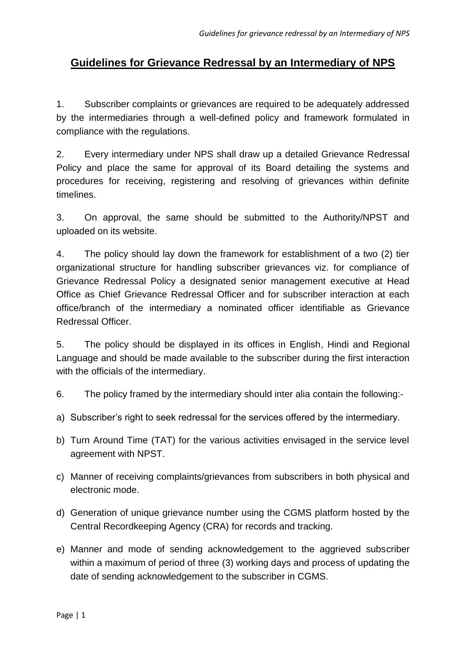## **Guidelines for Grievance Redressal by an Intermediary of NPS**

1. Subscriber complaints or grievances are required to be adequately addressed by the intermediaries through a well-defined policy and framework formulated in compliance with the regulations.

2. Every intermediary under NPS shall draw up a detailed Grievance Redressal Policy and place the same for approval of its Board detailing the systems and procedures for receiving, registering and resolving of grievances within definite timelines.

3. On approval, the same should be submitted to the Authority/NPST and uploaded on its website.

4. The policy should lay down the framework for establishment of a two (2) tier organizational structure for handling subscriber grievances viz. for compliance of Grievance Redressal Policy a designated senior management executive at Head Office as Chief Grievance Redressal Officer and for subscriber interaction at each office/branch of the intermediary a nominated officer identifiable as Grievance Redressal Officer.

5. The policy should be displayed in its offices in English, Hindi and Regional Language and should be made available to the subscriber during the first interaction with the officials of the intermediary.

6. The policy framed by the intermediary should inter alia contain the following:-

- a) Subscriber's right to seek redressal for the services offered by the intermediary.
- b) Turn Around Time (TAT) for the various activities envisaged in the service level agreement with NPST.
- c) Manner of receiving complaints/grievances from subscribers in both physical and electronic mode.
- d) Generation of unique grievance number using the CGMS platform hosted by the Central Recordkeeping Agency (CRA) for records and tracking.
- e) Manner and mode of sending acknowledgement to the aggrieved subscriber within a maximum of period of three (3) working days and process of updating the date of sending acknowledgement to the subscriber in CGMS.